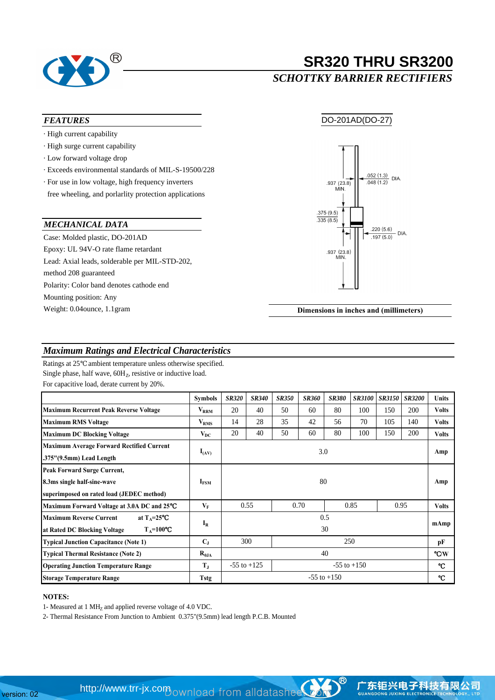

# **SR320 THRU SR3200**

### *SCHOTTKY BARRIER RECTIFIERS*

### *FEATURES*

- · High current capability
- · High surge current capability
- · Low forward voltage drop
- · Exceeds environmental standards of MIL-S-19500/228
- free wheeling, and porlarlity protection applications · For use in low voltage, high frequency inverters

### *MECHANICAL DATA*

Case: Molded plastic, DO-201AD method 208 guaranteed Polarity: Color band denotes cathode end Mounting position: Any Weight: 0.04ounce, 1.1gram Epoxy: UL 94V-O rate flame retardant Lead: Axial leads, solderable per MIL-STD-202,

DO-201AD(DO-27)



**Dimensions in inches and (millimeters)**

### *Maximum Ratings and Electrical Characteristics*

Ratings at 25 ambient temperature unless otherwise specified. Single phase, half wave,  $60H<sub>Z</sub>$ , resistive or inductive load. For capacitive load, derate current by 20%.

|                                                                              | <b>Symbols</b>          | <b>SR320</b>                       | <b>SR340</b> | <b>SR350</b> | <b>SR360</b> | <b>SR380</b> | <b>SR3100</b> | <b>SR3150</b> | <b>SR3200</b> | <b>Units</b> |
|------------------------------------------------------------------------------|-------------------------|------------------------------------|--------------|--------------|--------------|--------------|---------------|---------------|---------------|--------------|
| <b>Maximum Recurrent Peak Reverse Voltage</b>                                | $\rm{V}_{\rm{RRM}}$     | 20                                 | 40           | 50           | 60           | 80           | 100           | 150           | 200           | <b>Volts</b> |
| <b>Maximum RMS Voltage</b>                                                   | $\rm{V}_{RMS}$          | 14                                 | 28           | 35           | 42           | 56           | 70            | 105           | 140           | <b>Volts</b> |
| <b>Maximum DC Blocking Voltage</b>                                           | $V_{DC}$                | 20                                 | 40           | 50           | 60           | 80           | 100           | 150           | 200           | <b>Volts</b> |
| <b>Maximum Average Forward Rectified Current</b><br>.375"(9.5mm) Lead Length | $I_{(AV)}$              | 3.0                                |              |              |              |              |               |               |               | Amp          |
| <b>Peak Forward Surge Current,</b>                                           |                         |                                    |              |              |              |              |               |               |               |              |
| 8.3ms single half-sine-wave                                                  | 80<br>$I_{FSM}$         |                                    |              |              |              |              |               |               |               | Amp          |
| superimposed on rated load (JEDEC method)                                    |                         |                                    |              |              |              |              |               |               |               |              |
| Maximum Forward Voltage at 3.0A DC and 25                                    | $\mathbf{V}_\mathbf{F}$ | 0.55                               |              | 0.70         |              | 0.85         |               | 0.95          |               | <b>Volts</b> |
| at $T_A=25$<br><b>Maximum Reverse Current</b>                                |                         | 0.5                                |              |              |              |              |               |               | mAmp          |              |
| $T_A=100$<br>at Rated DC Blocking Voltage                                    | $I_R$<br>30             |                                    |              |              |              |              |               |               |               |              |
| <b>Typical Junction Capacitance (Note 1)</b>                                 | $C_{J}$                 | 300<br>250                         |              |              |              |              |               | pF            |               |              |
| <b>Typical Thermal Resistance (Note 2)</b>                                   | $R_{\theta JA}$         | 40                                 |              |              |              |              |               |               |               | /W           |
| <b>Operating Junction Temperature Range</b>                                  | $T_{\rm J}$             | $-55$ to $+125$<br>$-55$ to $+150$ |              |              |              |              |               |               |               |              |
| <b>Storage Temperature Range</b>                                             | Tstg                    | $-55$ to $+150$                    |              |              |              |              |               |               |               |              |

### **NOTES:**

1- Measured at 1 MH<sub>z</sub> and applied reverse voltage of 4.0 VDC.

2- Thermal Resistance From Junction to Ambient 0.375"(9.5mm) lead length P.C.B. Mounted